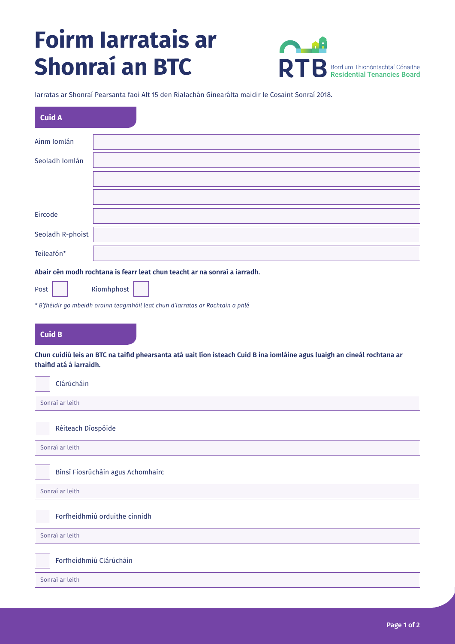## **Foirm Iarratais ar Shonraí an BTC**



Iarratas ar Shonraí Pearsanta faoi Alt 15 den Rialachán Ginearálta maidir le Cosaint Sonraí 2018.

| <b>Cuid A</b>                                                                                                                                       |                                                                                |  |
|-----------------------------------------------------------------------------------------------------------------------------------------------------|--------------------------------------------------------------------------------|--|
| Ainm Iomlán                                                                                                                                         |                                                                                |  |
| Seoladh Iomlán                                                                                                                                      |                                                                                |  |
|                                                                                                                                                     |                                                                                |  |
|                                                                                                                                                     |                                                                                |  |
| Eircode                                                                                                                                             |                                                                                |  |
| Seoladh R-phoist                                                                                                                                    |                                                                                |  |
| Teileafón*                                                                                                                                          |                                                                                |  |
| Abair cén modh rochtana is fearr leat chun teacht ar na sonraí a iarradh.                                                                           |                                                                                |  |
| Ríomhphost<br>Post                                                                                                                                  |                                                                                |  |
|                                                                                                                                                     | * B'fhéidir go mbeidh orainn teagmháil leat chun d'Iarratas ar Rochtain a phlé |  |
| <b>Cuid B</b>                                                                                                                                       |                                                                                |  |
| Chun cuidiú leis an BTC na taifid phearsanta atá uait líon isteach Cuid B ina iomláine agus luaigh an cineál rochtana ar<br>thaifid atá á iarraidh. |                                                                                |  |
| Clárúcháin                                                                                                                                          |                                                                                |  |
| Sonraí ar leith                                                                                                                                     |                                                                                |  |
| Réiteach Díospóide                                                                                                                                  |                                                                                |  |
| Sonraí ar leith                                                                                                                                     |                                                                                |  |
| Bínsí Fiosrúcháin agus Achomhairc                                                                                                                   |                                                                                |  |
| Sonraí ar leith                                                                                                                                     |                                                                                |  |
|                                                                                                                                                     | Forfheidhmiú orduithe cinnidh                                                  |  |
| Sonraí ar leith                                                                                                                                     |                                                                                |  |
| Forfheidhmiú Clárúcháin                                                                                                                             |                                                                                |  |
| Sonraí ar leith                                                                                                                                     |                                                                                |  |